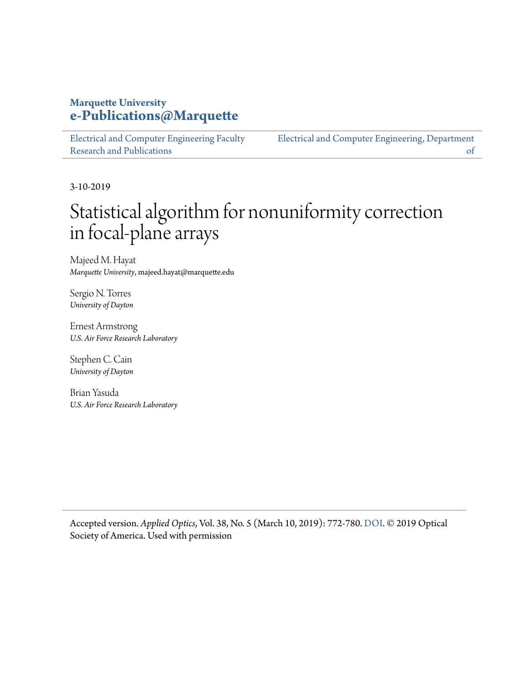## **Marquette University [e-Publications@Marquette](https://epublications.marquette.edu/)**

[Electrical and Computer Engineering Faculty](https://epublications.marquette.edu/electric_fac) [Research and Publications](https://epublications.marquette.edu/electric_fac) [Electrical and Computer Engineering, Department](https://epublications.marquette.edu/electric)

3-10-2019

## Statistical algorithm for nonuniformity correction in focal-plane arrays

[of](https://epublications.marquette.edu/electric)

Majeed M. Hayat *Marquette University*, majeed.hayat@marquette.edu

Sergio N. Torres *University of Dayton*

Ernest Armstrong *U.S. Air Force Research Laboratory*

Stephen C. Cain *University of Dayton*

Brian Yasuda *U.S. Air Force Research Laboratory*

Accepted version. *Applied Optics*, Vol. 38, No. 5 (March 10, 2019): 772-780. [DOI](https://dx.doi.org/10.1364/AO.38.000772). © 2019 Optical Society of America. Used with permission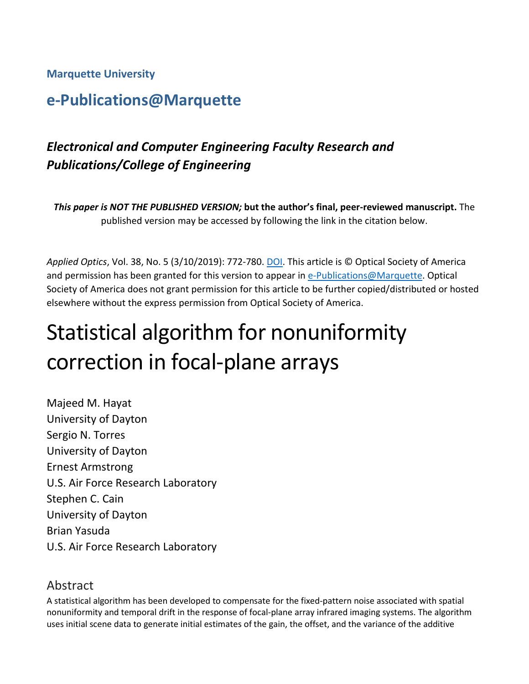**Marquette University**

## **e-Publications@Marquette**

## *Electronical and Computer Engineering Faculty Research and Publications/College of Engineering*

*This paper is NOT THE PUBLISHED VERSION;* **but the author's final, peer-reviewed manuscript.** The published version may be accessed by following the link in the citation below.

*Applied Optics*, Vol. 38, No. 5 (3/10/2019): 772-780[. DOI.](https://dx.doi.org/10.1364/AO.38.000772) This article is © Optical Society of America and permission has been granted for this version to appear in [e-Publications@Marquette.](http://epublications.marquette.edu/) Optical Society of America does not grant permission for this article to be further copied/distributed or hosted elsewhere without the express permission from Optical Society of America.

# Statistical algorithm for nonuniformity correction in focal-plane arrays

Majeed M. Hayat University of Dayton Sergio N. Torres University of Dayton Ernest Armstrong U.S. Air Force Research Laboratory Stephen C. Cain University of Dayton Brian Yasuda U.S. Air Force Research Laboratory

## Abstract

A statistical algorithm has been developed to compensate for the fixed-pattern noise associated with spatial nonuniformity and temporal drift in the response of focal-plane array infrared imaging systems. The algorithm uses initial scene data to generate initial estimates of the gain, the offset, and the variance of the additive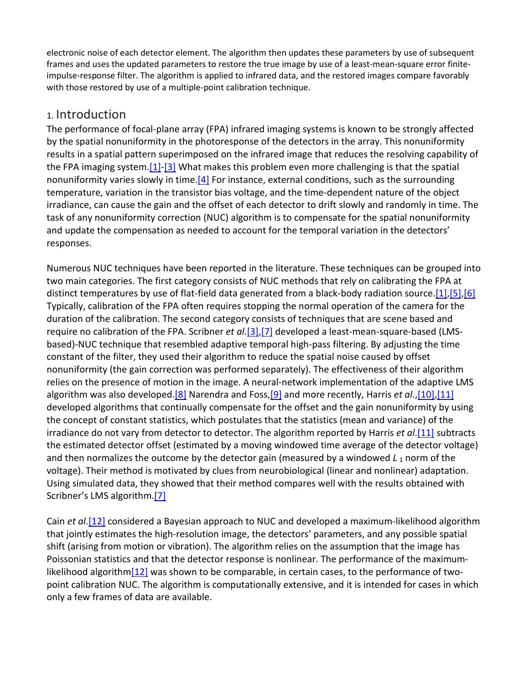electronic noise of each detector element. The algorithm then updates these parameters by use of subsequent frames and uses the updated parameters to restore the true image by use of a least-mean-square error finiteimpulse-response filter. The algorithm is applied to infrared data, and the restored images compare favorably with those restored by use of a multiple-point calibration technique.

## 1. Introduction

The performance of focal-plane array (FPA) infrared imaging systems is known to be strongly affected by the spatial nonuniformity in the photoresponse of the detectors in the array. This nonuniformity results in a spatial pattern superimposed on the infrared image that reduces the resolving capability of the FPA imaging system. $[1]$ - $[3]$  What makes this problem even more challenging is that the spatial nonuniformity varies slowly in time. $[4]$  For instance, external conditions, such as the surrounding temperature, variation in the transistor bias voltage, and the time-dependent nature of the object irradiance, can cause the gain and the offset of each detector to drift slowly and randomly in time. The task of any nonuniformity correction (NUC) algorithm is to compensate for the spatial nonuniformity and update the compensation as needed to account for the temporal variation in the detectors' responses.

Numerous NUC techniques have been reported in the literature. These techniques can be grouped into two main categories. The first category consists of NUC methods that rely on calibrating the FPA at distinct temperatures by use of flat-field data generated from a black-body radiation source[.\[1\]](https://www.osapublishing.org/ao/fulltext.cfm?uri=ao-38-5-772&id=60204#ref1)[,\[5\],](https://www.osapublishing.org/ao/fulltext.cfm?uri=ao-38-5-772&id=60204#ref5)[\[6\]](https://www.osapublishing.org/ao/fulltext.cfm?uri=ao-38-5-772&id=60204#ref6) Typically, calibration of the FPA often requires stopping the normal operation of the camera for the duration of the calibration. The second category consists of techniques that are scene based and require no calibration of the FPA. Scribner *et al*[.\[3\],](https://www.osapublishing.org/ao/fulltext.cfm?uri=ao-38-5-772&id=60204#ref3)[\[7\]](https://www.osapublishing.org/ao/fulltext.cfm?uri=ao-38-5-772&id=60204#ref7) developed a least-mean-square-based (LMSbased)-NUC technique that resembled adaptive temporal high-pass filtering. By adjusting the time constant of the filter, they used their algorithm to reduce the spatial noise caused by offset nonuniformity (the gain correction was performed separately). The effectiveness of their algorithm relies on the presence of motion in the image. A neural-network implementation of the adaptive LMS algorithm was also developed[.\[8\]](https://www.osapublishing.org/ao/fulltext.cfm?uri=ao-38-5-772&id=60204#ref8) Narendra and Foss[,\[9\]](https://www.osapublishing.org/ao/fulltext.cfm?uri=ao-38-5-772&id=60204#ref9) and more recently, Harris *et al*.[,\[10\]](https://www.osapublishing.org/ao/fulltext.cfm?uri=ao-38-5-772&id=60204#ref10)[,\[11\]](https://www.osapublishing.org/ao/fulltext.cfm?uri=ao-38-5-772&id=60204#ref11) developed algorithms that continually compensate for the offset and the gain nonuniformity by using the concept of constant statistics, which postulates that the statistics (mean and variance) of the irradiance do not vary from detector to detector. The algorithm reported by Harris *et al*[.\[11\]](https://www.osapublishing.org/ao/fulltext.cfm?uri=ao-38-5-772&id=60204#ref11) subtracts the estimated detector offset (estimated by a moving windowed time average of the detector voltage) and then normalizes the outcome by the detector gain (measured by a windowed *L*<sub>1</sub> norm of the voltage). Their method is motivated by clues from neurobiological (linear and nonlinear) adaptation. Using simulated data, they showed that their method compares well with the results obtained with Scribner's LMS algorithm[.\[7\]](https://www.osapublishing.org/ao/fulltext.cfm?uri=ao-38-5-772&id=60204#ref7)

Cain *et al*[.\[12\]](https://www.osapublishing.org/ao/fulltext.cfm?uri=ao-38-5-772&id=60204#ref12) considered a Bayesian approach to NUC and developed a maximum-likelihood algorithm that jointly estimates the high-resolution image, the detectors' parameters, and any possible spatial shift (arising from motion or vibration). The algorithm relies on the assumption that the image has Poissonian statistics and that the detector response is nonlinear. The performance of the maximumlikelihood algorith[m\[12\]](https://www.osapublishing.org/ao/fulltext.cfm?uri=ao-38-5-772&id=60204#ref12) was shown to be comparable, in certain cases, to the performance of twopoint calibration NUC. The algorithm is computationally extensive, and it is intended for cases in which only a few frames of data are available.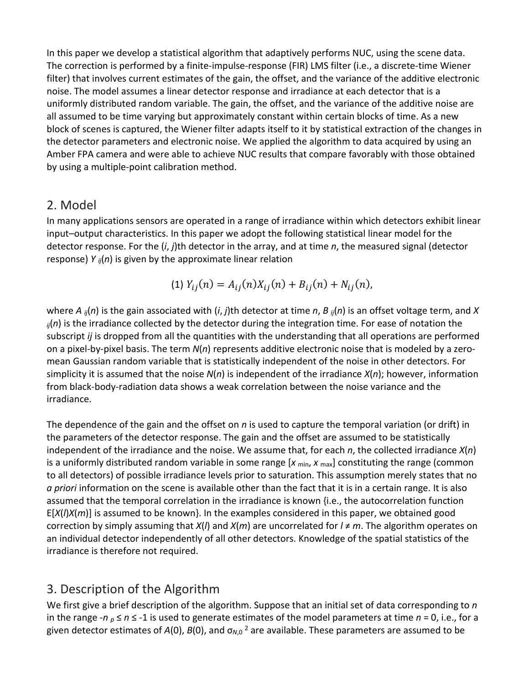In this paper we develop a statistical algorithm that adaptively performs NUC, using the scene data. The correction is performed by a finite-impulse-response (FIR) LMS filter (i.e., a discrete-time Wiener filter) that involves current estimates of the gain, the offset, and the variance of the additive electronic noise. The model assumes a linear detector response and irradiance at each detector that is a uniformly distributed random variable. The gain, the offset, and the variance of the additive noise are all assumed to be time varying but approximately constant within certain blocks of time. As a new block of scenes is captured, the Wiener filter adapts itself to it by statistical extraction of the changes in the detector parameters and electronic noise. We applied the algorithm to data acquired by using an Amber FPA camera and were able to achieve NUC results that compare favorably with those obtained by using a multiple-point calibration method.

## 2. Model

In many applications sensors are operated in a range of irradiance within which detectors exhibit linear input–output characteristics. In this paper we adopt the following statistical linear model for the detector response. For the (*i*, *j*)th detector in the array, and at time *n*, the measured signal (detector response) *Y ij*(*n*) is given by the approximate linear relation

(1) 
$$
Y_{ij}(n) = A_{ij}(n)X_{ij}(n) + B_{ij}(n) + N_{ij}(n)
$$
,

where *A ij*(*n*) is the gain associated with (*i*, *j*)th detector at time *n*, *B ij*(*n*) is an offset voltage term, and *X ij*(*n*) is the irradiance collected by the detector during the integration time. For ease of notation the subscript *ij* is dropped from all the quantities with the understanding that all operations are performed on a pixel-by-pixel basis. The term *N*(*n*) represents additive electronic noise that is modeled by a zeromean Gaussian random variable that is statistically independent of the noise in other detectors. For simplicity it is assumed that the noise *N*(*n*) is independent of the irradiance *X*(*n*); however, information from black-body-radiation data shows a weak correlation between the noise variance and the irradiance.

The dependence of the gain and the offset on *n* is used to capture the temporal variation (or drift) in the parameters of the detector response. The gain and the offset are assumed to be statistically independent of the irradiance and the noise. We assume that, for each *n*, the collected irradiance *X*(*n*) is a uniformly distributed random variable in some range [x <sub>min</sub>, x <sub>max</sub>] constituting the range (common to all detectors) of possible irradiance levels prior to saturation. This assumption merely states that no *a priori* information on the scene is available other than the fact that it is in a certain range. It is also assumed that the temporal correlation in the irradiance is known {i.e., the autocorrelation function E[*X*(*l*)*X*(*m*)] is assumed to be known}. In the examples considered in this paper, we obtained good correction by simply assuming that *X*(*l*) and *X*(*m*) are uncorrelated for *l* ≠ *m*. The algorithm operates on an individual detector independently of all other detectors. Knowledge of the spatial statistics of the irradiance is therefore not required.

## 3. Description of the Algorithm

We first give a brief description of the algorithm. Suppose that an initial set of data corresponding to *n* in the range -*n*  $_p \le n \le -1$  is used to generate estimates of the model parameters at time  $n = 0$ , i.e., for a given detector estimates of *A*(0), *B*(0), and σ*<sup>N</sup>*,0 <sup>2</sup> are available. These parameters are assumed to be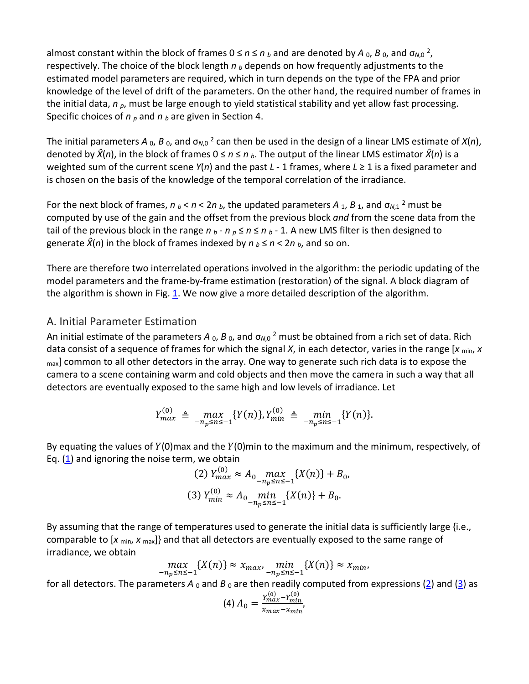almost constant within the block of frames  $0 \le n \le n_b$  and are denoted by A  $_0$ , B  $_0$ , and  $\sigma_{N,0}$ <sup>2</sup>, respectively. The choice of the block length *n <sup>b</sup>* depends on how frequently adjustments to the estimated model parameters are required, which in turn depends on the type of the FPA and prior knowledge of the level of drift of the parameters. On the other hand, the required number of frames in the initial data, *n <sup>p</sup>*, must be large enough to yield statistical stability and yet allow fast processing. Specific choices of *n <sup>p</sup>* and *n <sup>b</sup>* are given in Section 4.

The initial parameters A  $_0$ , B  $_0$ , and  $\sigma_{N,0}$ <sup>2</sup> can then be used in the design of a linear LMS estimate of  $X(n)$ , denoted by  $\hat{X}(n)$ , in the block of frames  $0 \le n \le n_b$ . The output of the linear LMS estimator  $\hat{X}(n)$  is a weighted sum of the current scene *Y*(*n*) and the past *L* - 1 frames, where *L* ≥ 1 is a fixed parameter and is chosen on the basis of the knowledge of the temporal correlation of the irradiance.

For the next block of frames,  $n_b < n < 2n_b$ , the updated parameters  $A_1$ ,  $B_1$ , and  $\sigma_{N,1}$ <sup>2</sup> must be computed by use of the gain and the offset from the previous block *and* from the scene data from the tail of the previous block in the range  $n_b$  -  $n_p \le n \le n_b$  - 1. A new LMS filter is then designed to generate  $\hat{X}(n)$  in the block of frames indexed by  $n_b \le n < 2n_b$ , and so on.

There are therefore two interrelated operations involved in the algorithm: the periodic updating of the model parameters and the frame-by-frame estimation (restoration) of the signal. A block diagram of the algorithm is shown in Fig. [1.](https://www.osapublishing.org/ao/fulltext.cfm?uri=ao-38-5-772&id=60204#F1) We now give a more detailed description of the algorithm.

#### A. Initial Parameter Estimation

An initial estimate of the parameters *A* <sub>0</sub>, *B* <sub>0</sub>, and σ<sub>*N*,0</sub><sup>2</sup> must be obtained from a rich set of data. Rich data consist of a sequence of frames for which the signal *X*, in each detector, varies in the range [*x* min, *x*  $_{\text{max}}$ ] common to all other detectors in the array. One way to generate such rich data is to expose the camera to a scene containing warm and cold objects and then move the camera in such a way that all detectors are eventually exposed to the same high and low levels of irradiance. Let

$$
Y_{max}^{(0)} \triangleq \max_{-n_p \leq n \leq -1} \{Y(n)\}, Y_{min}^{(0)} \triangleq \min_{-n_p \leq n \leq -1} \{Y(n)\}.
$$

By equating the values of  $Y(0)$ max and the  $Y(0)$ min to the maximum and the minimum, respectively, of Eq.  $(1)$  and ignoring the noise term, we obtain

(2) 
$$
Y_{max}^{(0)} \approx A_0 \max_{-n_p \le n \le -1} \{X(n)\} + B_0
$$
,  
(3)  $Y_{min}^{(0)} \approx A_0 \min_{-n_p \le n \le -1} \{X(n)\} + B_0$ .

By assuming that the range of temperatures used to generate the initial data is sufficiently large {i.e., comparable to [*x* min, *x* max]} and that all detectors are eventually exposed to the same range of irradiance, we obtain

$$
\max_{-n_p \le n \le -1} \{X(n)\} \approx x_{\max}, \min_{-n_p \le n \le -1} \{X(n)\} \approx x_{\min},
$$

for all detectors. The parameters  $A_0$  and  $B_0$  are then readily computed from expressions [\(2\)](https://www.osapublishing.org/ao/fulltext.cfm?uri=ao-38-5-772&id=60204#fd2) and [\(3\)](https://www.osapublishing.org/ao/fulltext.cfm?uri=ao-38-5-772&id=60204#fd3) as

$$
(4) A_0 = \frac{Y_{max}^{(0)} - Y_{min}^{(0)}}{x_{max} - x_{min}},
$$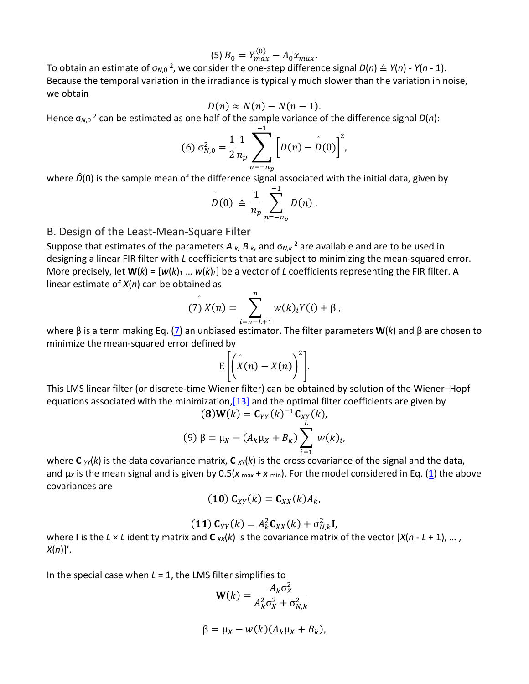$$
(5) B_0 = Y_{max}^{(0)} - A_0 x_{max}.
$$

To obtain an estimate of σ*<sup>N</sup>*,0 2, we consider the one-step difference signal *D*(*n*) ≜ *Y*(*n*) - *Y*(*n* - 1). Because the temporal variation in the irradiance is typically much slower than the variation in noise, we obtain

$$
D(n) \approx N(n) - N(n-1).
$$

Hence σ*<sup>N</sup>*,0 <sup>2</sup> can be estimated as one half of the sample variance of the difference signal *D*(*n*):

(6) 
$$
\sigma_{N,0}^2 = \frac{1}{2} \frac{1}{n_p} \sum_{n=-n_p}^{-1} \left[ D(n) - D(0) \right]^2
$$
,

where  $\hat{D}(0)$  is the sample mean of the difference signal associated with the initial data, given by

$$
D(0) \triangleq \frac{1}{n_p} \sum_{n=-n_p}^{-1} D(n) .
$$

#### B. Design of the Least-Mean-Square Filter

Suppose that estimates of the parameters  $A_k$ ,  $B_k$ , and  $\sigma_{N,k}$ <sup>2</sup> are available and are to be used in designing a linear FIR filter with *L* coefficients that are subject to minimizing the mean-squared error. More precisely, let  $W(k) = [w(k)_1 \dots w(k)_k]$  be a vector of *L* coefficients representing the FIR filter. A linear estimate of *X*(*n*) can be obtained as

$$
(7) X(n) = \sum_{i=n-L+1}^{n} w(k)_{i} Y(i) + \beta,
$$

=−+1 where β is a term making Eq. ([7\)](https://www.osapublishing.org/ao/fulltext.cfm?uri=ao-38-5-772&id=60204#fd7) an unbiased estimator. The filter parameters **W**(*k*) and β are chosen to minimize the mean-squared error defined by

$$
E\left[\left(\hat{X}(n)-X(n)\right)^2\right].
$$

This LMS linear filter (or discrete-time Wiener filter) can be obtained by solution of the Wiener–Hopf equations associated with the minimization,  $[13]$  and the optimal filter coefficients are given by

$$
\begin{aligned} \n\textbf{(8)}\mathbf{W}(k) &= \mathbf{C}_{YY}(k)^{-1}\mathbf{C}_{XY}(k),\\ \n\textbf{(9)}\ \beta &= \mu_X - (A_k\mu_X + B_k) \sum_{i=1}^L w(k)_i, \n\end{aligned}
$$

=1 where **C** *YY*(*k*) is the data covariance matrix, **C** *XY*(*k*) is the cross covariance of the signal and the data, and  $\mu_X$  is the mean signal and is given by 0.5( $x_{\text{max}} + x_{\text{min}}$ ). For the model considered in Eq. [\(1\)](https://www.osapublishing.org/ao/fulltext.cfm?uri=ao-38-5-772&id=60204#fd1) the above covariances are

$$
(10) C_{XY}(k) = C_{XX}(k) A_k,
$$

$$
(11) C_{YY}(k) = A_k^2 C_{XX}(k) + \sigma_{N,k}^2 \mathbf{I},
$$

where **I** is the *L* × *L* identity matrix and **C**  $xx(k)$  is the covariance matrix of the vector  $[X(n - L + 1), ...,$ *X*(*n*)]′.

In the special case when *L* = 1, the LMS filter simplifies to

$$
\mathbf{W}(k) = \frac{A_k \sigma_X^2}{A_k^2 \sigma_X^2 + \sigma_{N,k}^2}
$$

$$
\beta = \mu_X - w(k)(A_k \mu_X + B_k),
$$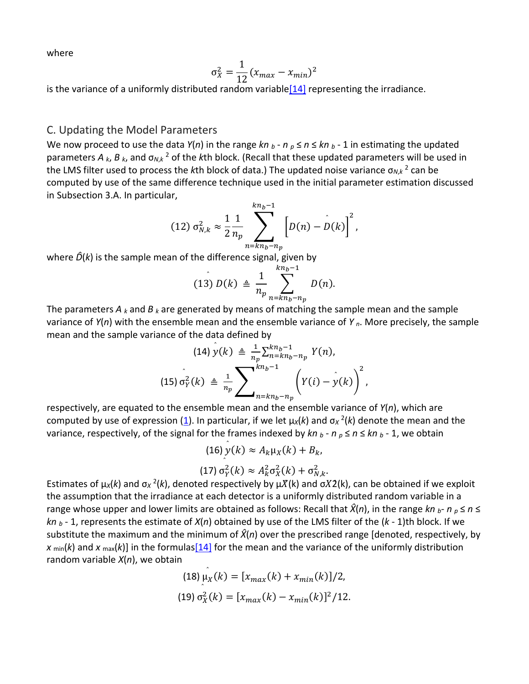where

$$
\sigma_X^2 = \frac{1}{12} (x_{max} - x_{min})^2
$$

is the variance of a uniformly distributed random variable<sup>[14]</sup> representing the irradiance.

#### C. Updating the Model Parameters

We now proceed to use the data  $Y(n)$  in the range  $kn \, p - n \, p \leq n \leq kn \, p - 1$  in estimating the updated parameters *A <sup>k</sup>*, *B <sup>k</sup>*, and σ*<sup>N</sup>*,*<sup>k</sup>* <sup>2</sup> of the *k*th block. (Recall that these updated parameters will be used in the LMS filter used to process the *k*th block of data.) The updated noise variance  $σ<sub>N,k</sub> <sup>2</sup>$  can be computed by use of the same difference technique used in the initial parameter estimation discussed in Subsection 3.A. In particular,

$$
(12) \sigma_{N,k}^2 \approx \frac{1}{2} \frac{1}{n_p} \sum_{n = kn_b - n_p}^{kn_b - 1} \left[ D(n) - D(k) \right]^2,
$$

where  $\hat{D}(k)$  is the sample mean of the difference signal, given by

$$
(13) D(k) \triangleq \frac{1}{n_p} \sum_{n=kn_b-n_p}^{kn_b-1} D(n).
$$

The parameters  $A_k$  and  $B_k$  are generated by means of matching the sample mean and the sample variance of *Y*(*n*) with the ensemble mean and the ensemble variance of *Y <sup>n</sup>*. More precisely, the sample mean and the sample variance of the data defined by

$$
(14) y(k) \triangleq \frac{1}{n_p} \sum_{n=kn_b-n_p}^{kn_b-1} Y(n),
$$
  

$$
(15) \sigma_Y^2(k) \triangleq \frac{1}{n_p} \sum_{n=kn_b-n_p}^{kn_b-1} \left(Y(i) - \hat{y}(k)\right)^2,
$$

respectively, are equated to the ensemble mean and the ensemble variance of *Y*(*n*), which are computed by use of expression [\(1](https://www.osapublishing.org/ao/fulltext.cfm?uri=ao-38-5-772&id=60204#fd1)). In particular, if we let  $\mu_X(k)$  and  $\sigma_X^2(k)$  denote the mean and the variance, respectively, of the signal for the frames indexed by  $kn \, p - n \, p \leq n \leq kn \, p - 1$ , we obtain

$$
(16)\,y(k)\approx A_k\mu_X(k)+B_k,
$$

(17) 
$$
\sigma_Y^2(k) \approx A_k^2 \sigma_X^2(k) + \sigma_{N,k}^2
$$
.

Estimates of  $\mu_X(k)$  and  $\sigma_X^2(k)$ , denoted respectively by  $\mu X(k)$  and  $\sigma X2(k)$ , can be obtained if we exploit the assumption that the irradiance at each detector is a uniformly distributed random variable in a range whose upper and lower limits are obtained as follows: Recall that  $\hat{X}(n)$ , in the range kn  $_b$ - n  $_b \le n \le n$ *kn <sup>b</sup>* - 1, represents the estimate of *X*(*n*) obtained by use of the LMS filter of the (*k* - 1)th block. If we substitute the maximum and the minimum of *X�*(*n*) over the prescribed range [denoted, respectively, by  $x_{\text{min}}(k)$  and  $x_{\text{max}}(k)$ ] in the formula[s\[14\]](https://www.osapublishing.org/ao/fulltext.cfm?uri=ao-38-5-772&id=60204#ref14) for the mean and the variance of the uniformly distribution random variable *X*(*n*), we obtain

(18) 
$$
\mu_X(k) = [x_{max}(k) + x_{min}(k)]/2,
$$
  
(19)  $\sigma_X^2(k) = [x_{max}(k) - x_{min}(k)]^2/12.$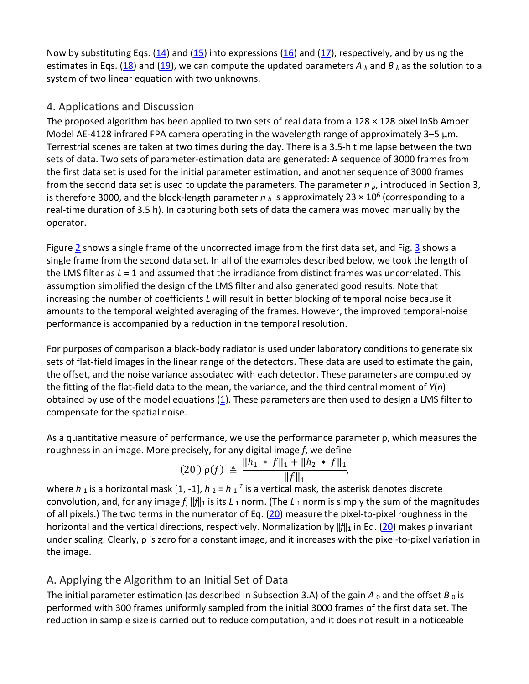Now by substituting Eqs. [\(14\)](https://www.osapublishing.org/ao/fulltext.cfm?uri=ao-38-5-772&id=60204#fd14) and [\(15\)](https://www.osapublishing.org/ao/fulltext.cfm?uri=ao-38-5-772&id=60204#fd15) into expressions [\(16\)](https://www.osapublishing.org/ao/fulltext.cfm?uri=ao-38-5-772&id=60204#fd16) and [\(17\)](https://www.osapublishing.org/ao/fulltext.cfm?uri=ao-38-5-772&id=60204#fd17), respectively, and by using the estimates in Eqs. [\(18\)](https://www.osapublishing.org/ao/fulltext.cfm?uri=ao-38-5-772&id=60204#fd18) and [\(19\)](https://www.osapublishing.org/ao/fulltext.cfm?uri=ao-38-5-772&id=60204#fd19), we can compute the updated parameters  $A_k$  and  $B_k$  as the solution to a system of two linear equation with two unknowns.

#### 4. Applications and Discussion

The proposed algorithm has been applied to two sets of real data from a  $128 \times 128$  pixel InSb Amber Model AE-4128 infrared FPA camera operating in the wavelength range of approximately  $3-5 \mu m$ . Terrestrial scenes are taken at two times during the day. There is a 3.5-h time lapse between the two sets of data. Two sets of parameter-estimation data are generated: A sequence of 3000 frames from the first data set is used for the initial parameter estimation, and another sequence of 3000 frames from the second data set is used to update the parameters. The parameter *n <sup>p</sup>*, introduced in Section 3, is therefore 3000, and the block-length parameter  $n<sub>b</sub>$  is approximately 23  $\times$  10<sup>6</sup> (corresponding to a real-time duration of 3.5 h). In capturing both sets of data the camera was moved manually by the operator.

Figure [2](https://www.osapublishing.org/ao/fulltext.cfm?uri=ao-38-5-772&id=60204#F2) shows a single frame of the uncorrected image from the first data set, and Fig. [3](https://www.osapublishing.org/ao/fulltext.cfm?uri=ao-38-5-772&id=60204#F3) shows a single frame from the second data set. In all of the examples described below, we took the length of the LMS filter as *L* = 1 and assumed that the irradiance from distinct frames was uncorrelated. This assumption simplified the design of the LMS filter and also generated good results. Note that increasing the number of coefficients *L* will result in better blocking of temporal noise because it amounts to the temporal weighted averaging of the frames. However, the improved temporal-noise performance is accompanied by a reduction in the temporal resolution.

For purposes of comparison a black-body radiator is used under laboratory conditions to generate six sets of flat-field images in the linear range of the detectors. These data are used to estimate the gain, the offset, and the noise variance associated with each detector. These parameters are computed by the fitting of the flat-field data to the mean, the variance, and the third central moment of *Y*(*n*) obtained by use of the model equations [\(1\)](https://www.osapublishing.org/ao/fulltext.cfm?uri=ao-38-5-772&id=60204#fd1). These parameters are then used to design a LMS filter to compensate for the spatial noise.

As a quantitative measure of performance, we use the performance parameter ρ, which measures the roughness in an image. More precisely, for any digital image *f*, we define

$$
(20)\,\rho(f) \triangleq \frac{\|h_1 * f\|_1 + \|h_2 * f\|_1}{\|f\|_1},
$$

where  $h_1$  is a horizontal mask [1, -1],  $h_2$  =  $h_1$ <sup>T</sup> is a vertical mask, the asterisk denotes discrete convolution, and, for any image *f*, ‖*f*‖<sup>1</sup> is its *L* <sup>1</sup> norm. (The *L* <sup>1</sup> norm is simply the sum of the magnitudes of all pixels.) The two terms in the numerator of Eq. [\(20\)](https://www.osapublishing.org/ao/fulltext.cfm?uri=ao-38-5-772&id=60204#fd20) measure the pixel-to-pixel roughness in the horizontal and the vertical directions, respectively. Normalization by |*f*||<sub>1</sub> in Eq. [\(20](https://www.osapublishing.org/ao/fulltext.cfm?uri=ao-38-5-772&id=60204#fd20)) makes ρ invariant under scaling. Clearly, ρ is zero for a constant image, and it increases with the pixel-to-pixel variation in the image.

## A. Applying the Algorithm to an Initial Set of Data

The initial parameter estimation (as described in Subsection 3.A) of the gain  $A_0$  and the offset  $B_0$  is performed with 300 frames uniformly sampled from the initial 3000 frames of the first data set. The reduction in sample size is carried out to reduce computation, and it does not result in a noticeable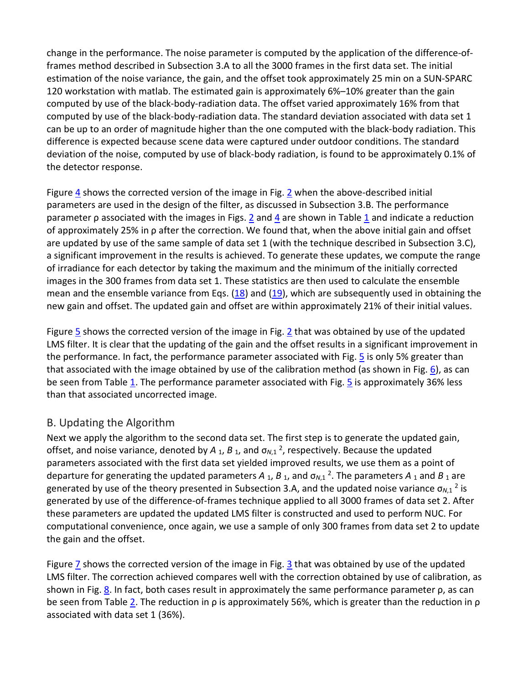change in the performance. The noise parameter is computed by the application of the difference-offrames method described in Subsection 3.A to all the 3000 frames in the first data set. The initial estimation of the noise variance, the gain, and the offset took approximately 25 min on a SUN-SPARC 120 workstation with matlab. The estimated gain is approximately 6%–10% greater than the gain computed by use of the black-body-radiation data. The offset varied approximately 16% from that computed by use of the black-body-radiation data. The standard deviation associated with data set 1 can be up to an order of magnitude higher than the one computed with the black-body radiation. This difference is expected because scene data were captured under outdoor conditions. The standard deviation of the noise, computed by use of black-body radiation, is found to be approximately 0.1% of the detector response.

Figure [4](https://www.osapublishing.org/ao/fulltext.cfm?uri=ao-38-5-772&id=60204#F4) shows the corrected version of the image in Fig.  $2$  when the above-described initial parameters are used in the design of the filter, as discussed in Subsection 3.B. The performance parameter p associated with the images in Figs. [2](https://www.osapublishing.org/ao/fulltext.cfm?uri=ao-38-5-772&id=60204#F2) and [4](https://www.osapublishing.org/ao/fulltext.cfm?uri=ao-38-5-772&id=60204#F4) are shown in Table [1](https://www.osapublishing.org/ao/fulltext.cfm?uri=ao-38-5-772&id=60204#t001) and indicate a reduction of approximately 25% in ρ after the correction. We found that, when the above initial gain and offset are updated by use of the same sample of data set 1 (with the technique described in Subsection 3.C), a significant improvement in the results is achieved. To generate these updates, we compute the range of irradiance for each detector by taking the maximum and the minimum of the initially corrected images in the 300 frames from data set 1. These statistics are then used to calculate the ensemble mean and the ensemble variance from Eqs.  $(18)$  and  $(19)$ , which are subsequently used in obtaining the new gain and offset. The updated gain and offset are within approximately 21% of their initial values.

Figure  $\overline{5}$  shows the corrected version of the image in Fig. [2](https://www.osapublishing.org/ao/fulltext.cfm?uri=ao-38-5-772&id=60204#F2) that was obtained by use of the updated LMS filter. It is clear that the updating of the gain and the offset results in a significant improvement in the performance. In fact, the performance parameter associated with Fig. [5](https://www.osapublishing.org/ao/fulltext.cfm?uri=ao-38-5-772&id=60204#F5) is only 5% greater than that associated with the image obtained by use of the calibration method (as shown in Fig.  $6$ ), as can be seen from Table  $\underline{1}$ . The performance parameter associated with Fig.  $\underline{5}$  is approximately 36% less than that associated uncorrected image.

#### B. Updating the Algorithm

Next we apply the algorithm to the second data set. The first step is to generate the updated gain, offset, and noise variance, denoted by *A* 1, *B* <sup>1</sup>, and σ*<sup>N</sup>*,1 2, respectively. Because the updated parameters associated with the first data set yielded improved results, we use them as a point of departure for generating the updated parameters  $A_1$ ,  $B_1$ , and  $\sigma_{N,1}$ <sup>2</sup>. The parameters  $A_1$  and  $B_1$  are generated by use of the theory presented in Subsection 3.A, and the updated noise variance  $\sigma_{N,1}$ <sup>2</sup> is generated by use of the difference-of-frames technique applied to all 3000 frames of data set 2. After these parameters are updated the updated LMS filter is constructed and used to perform NUC. For computational convenience, once again, we use a sample of only 300 frames from data set 2 to update the gain and the offset.

Figure  $\overline{1}$  shows the corrected version of the image in Fig.  $\overline{3}$  that was obtained by use of the updated LMS filter. The correction achieved compares well with the correction obtained by use of calibration, as shown in Fig. [8](https://www.osapublishing.org/ao/fulltext.cfm?uri=ao-38-5-772&id=60204#F8). In fact, both cases result in approximately the same performance parameter ρ, as can be seen from Table [2](https://www.osapublishing.org/ao/fulltext.cfm?uri=ao-38-5-772&id=60204#t002). The reduction in ρ is approximately 56%, which is greater than the reduction in ρ associated with data set 1 (36%).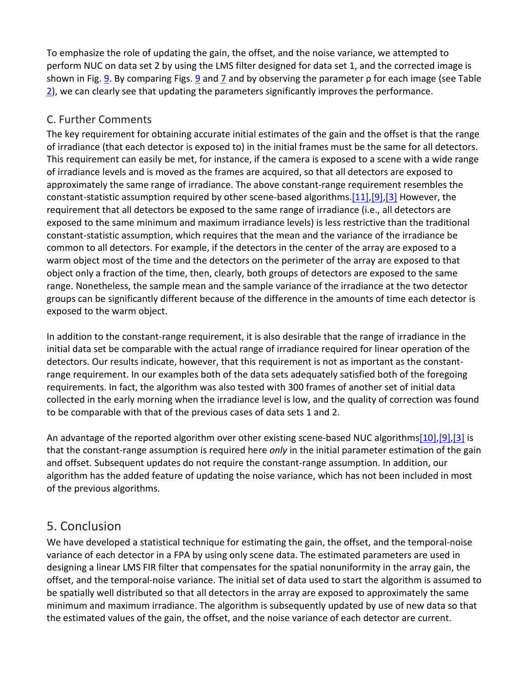To emphasize the role of updating the gain, the offset, and the noise variance, we attempted to perform NUC on data set 2 by using the LMS filter designed for data set 1, and the corrected image is shown in Fig. [9.](https://www.osapublishing.org/ao/fulltext.cfm?uri=ao-38-5-772&id=60204#F9) By comparing Figs. [9](https://www.osapublishing.org/ao/fulltext.cfm?uri=ao-38-5-772&id=60204#F9) an[d 7](https://www.osapublishing.org/ao/fulltext.cfm?uri=ao-38-5-772&id=60204#F7) and by observing the parameter ρ for each image (see Table  $2$ ), we can clearly see that updating the parameters significantly improves the performance.

## C. Further Comments

The key requirement for obtaining accurate initial estimates of the gain and the offset is that the range of irradiance (that each detector is exposed to) in the initial frames must be the same for all detectors. This requirement can easily be met, for instance, if the camera is exposed to a scene with a wide range of irradiance levels and is moved as the frames are acquired, so that all detectors are exposed to approximately the same range of irradiance. The above constant-range requirement resembles the constant-statistic assumption required by other scene-based algorithms[.\[11\],](https://www.osapublishing.org/ao/fulltext.cfm?uri=ao-38-5-772&id=60204#ref11)[\[9\]](https://www.osapublishing.org/ao/fulltext.cfm?uri=ao-38-5-772&id=60204#ref9)[,\[3\]](https://www.osapublishing.org/ao/fulltext.cfm?uri=ao-38-5-772&id=60204#ref3) However, the requirement that all detectors be exposed to the same range of irradiance (i.e., all detectors are exposed to the same minimum and maximum irradiance levels) is less restrictive than the traditional constant-statistic assumption, which requires that the mean and the variance of the irradiance be common to all detectors. For example, if the detectors in the center of the array are exposed to a warm object most of the time and the detectors on the perimeter of the array are exposed to that object only a fraction of the time, then, clearly, both groups of detectors are exposed to the same range. Nonetheless, the sample mean and the sample variance of the irradiance at the two detector groups can be significantly different because of the difference in the amounts of time each detector is exposed to the warm object.

In addition to the constant-range requirement, it is also desirable that the range of irradiance in the initial data set be comparable with the actual range of irradiance required for linear operation of the detectors. Our results indicate, however, that this requirement is not as important as the constantrange requirement. In our examples both of the data sets adequately satisfied both of the foregoing requirements. In fact, the algorithm was also tested with 300 frames of another set of initial data collected in the early morning when the irradiance level is low, and the quality of correction was found to be comparable with that of the previous cases of data sets 1 and 2.

An advantage of the reported algorithm over other existing scene-based NUC algorithm[s\[10\]](https://www.osapublishing.org/ao/fulltext.cfm?uri=ao-38-5-772&id=60204#ref10)[,\[9\]](https://www.osapublishing.org/ao/fulltext.cfm?uri=ao-38-5-772&id=60204#ref9)[,\[3\]](https://www.osapublishing.org/ao/fulltext.cfm?uri=ao-38-5-772&id=60204#ref3) is that the constant-range assumption is required here *only* in the initial parameter estimation of the gain and offset. Subsequent updates do not require the constant-range assumption. In addition, our algorithm has the added feature of updating the noise variance, which has not been included in most of the previous algorithms.

## 5. Conclusion

We have developed a statistical technique for estimating the gain, the offset, and the temporal-noise variance of each detector in a FPA by using only scene data. The estimated parameters are used in designing a linear LMS FIR filter that compensates for the spatial nonuniformity in the array gain, the offset, and the temporal-noise variance. The initial set of data used to start the algorithm is assumed to be spatially well distributed so that all detectors in the array are exposed to approximately the same minimum and maximum irradiance. The algorithm is subsequently updated by use of new data so that the estimated values of the gain, the offset, and the noise variance of each detector are current.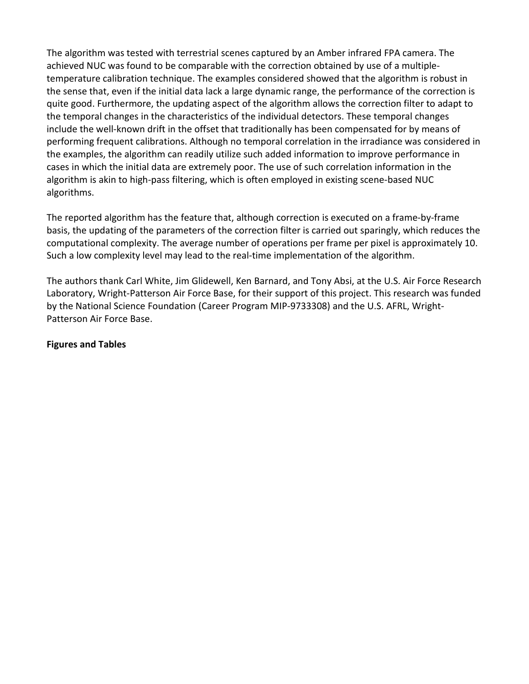The algorithm was tested with terrestrial scenes captured by an Amber infrared FPA camera. The achieved NUC was found to be comparable with the correction obtained by use of a multipletemperature calibration technique. The examples considered showed that the algorithm is robust in the sense that, even if the initial data lack a large dynamic range, the performance of the correction is quite good. Furthermore, the updating aspect of the algorithm allows the correction filter to adapt to the temporal changes in the characteristics of the individual detectors. These temporal changes include the well-known drift in the offset that traditionally has been compensated for by means of performing frequent calibrations. Although no temporal correlation in the irradiance was considered in the examples, the algorithm can readily utilize such added information to improve performance in cases in which the initial data are extremely poor. The use of such correlation information in the algorithm is akin to high-pass filtering, which is often employed in existing scene-based NUC algorithms.

The reported algorithm has the feature that, although correction is executed on a frame-by-frame basis, the updating of the parameters of the correction filter is carried out sparingly, which reduces the computational complexity. The average number of operations per frame per pixel is approximately 10. Such a low complexity level may lead to the real-time implementation of the algorithm.

The authors thank Carl White, Jim Glidewell, Ken Barnard, and Tony Absi, at the U.S. Air Force Research Laboratory, Wright-Patterson Air Force Base, for their support of this project. This research was funded by the National Science Foundation (Career Program MIP-9733308) and the U.S. AFRL, Wright-Patterson Air Force Base.

#### **Figures and Tables**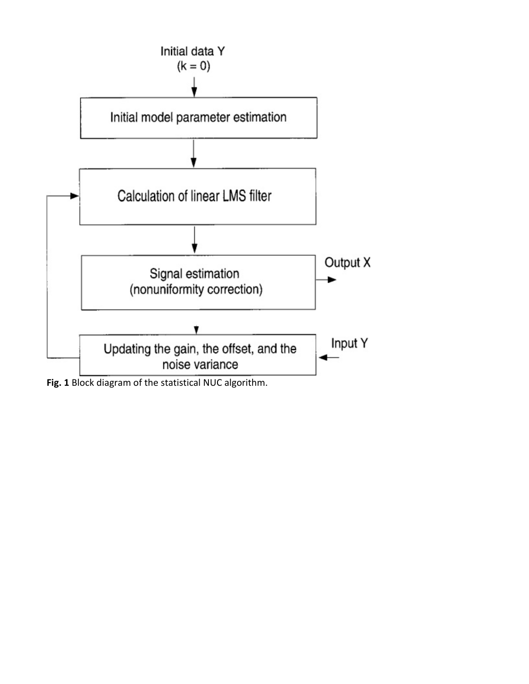

**Fig. 1** Block diagram of the statistical NUC algorithm.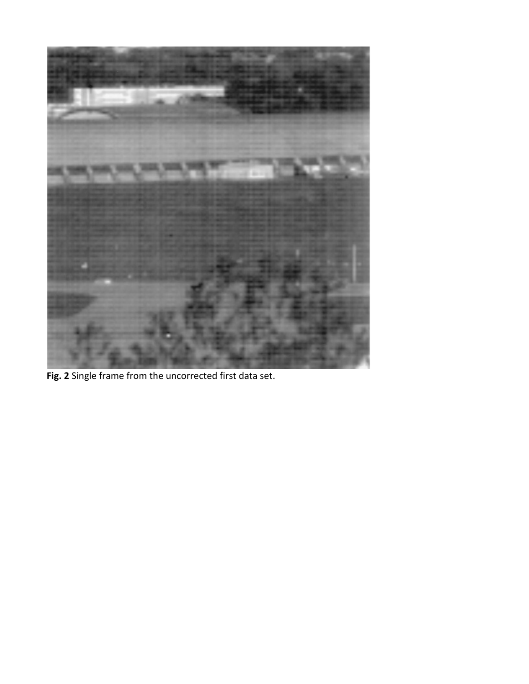

**Fig. 2** Single frame from the uncorrected first data set.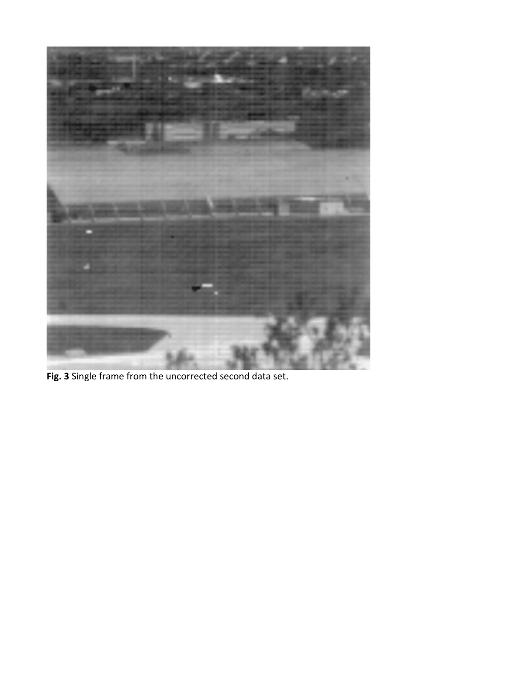

**Fig. 3** Single frame from the uncorrected second data set.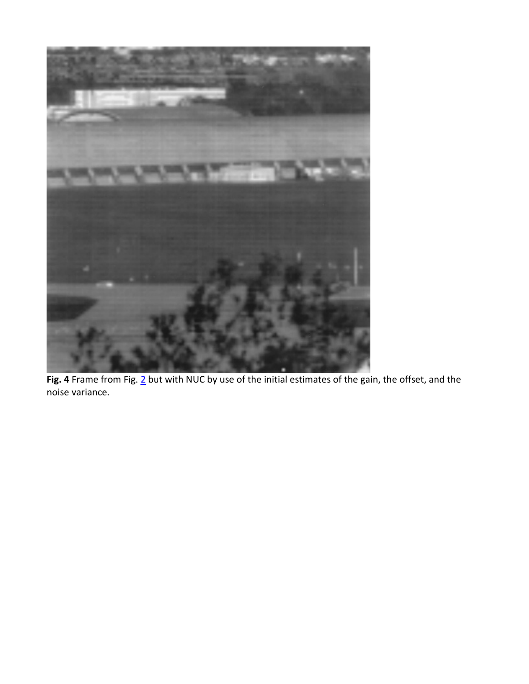

Fig. 4 Frame from Fig[. 2](https://www.osapublishing.org/ao/fulltext.cfm?uri=ao-38-5-772&id=60204#F2) but with NUC by use of the initial estimates of the gain, the offset, and the noise variance.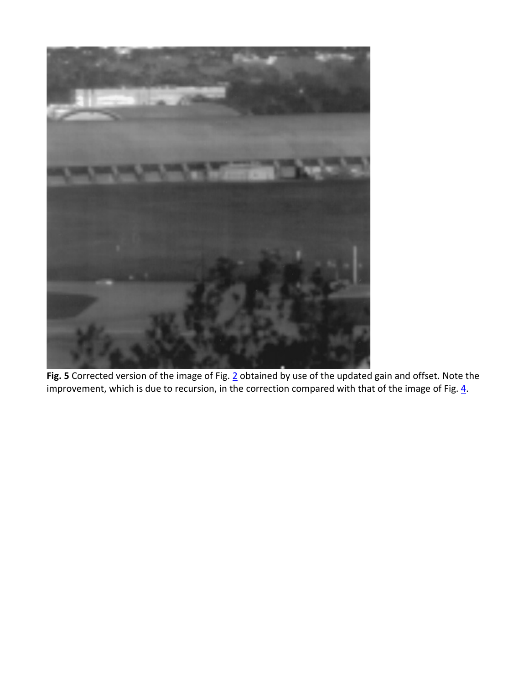

**Fig. 5** Corrected version of the image of Fig. [2](https://www.osapublishing.org/ao/fulltext.cfm?uri=ao-38-5-772&id=60204#F2) obtained by use of the updated gain and offset. Note the improvement, which is due to recursion, in the correction compared with that of the image of Fig.  $\underline{4}$ .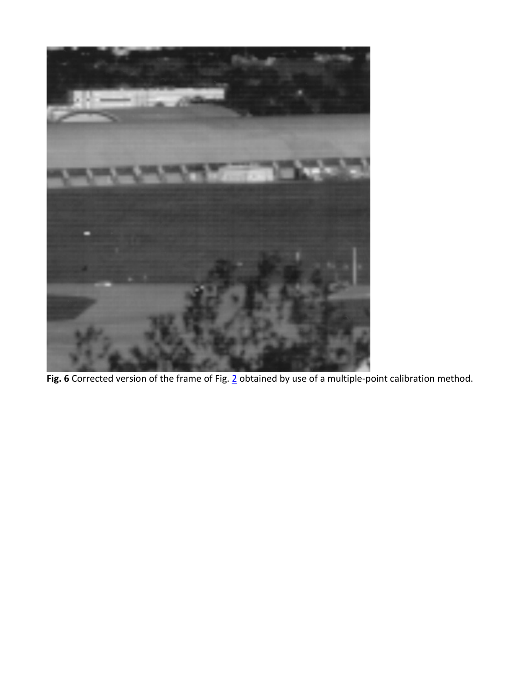

**Fig. 6** Corrected version of the frame of Fig. [2](https://www.osapublishing.org/ao/fulltext.cfm?uri=ao-38-5-772&id=60204#F2) obtained by use of a multiple-point calibration method.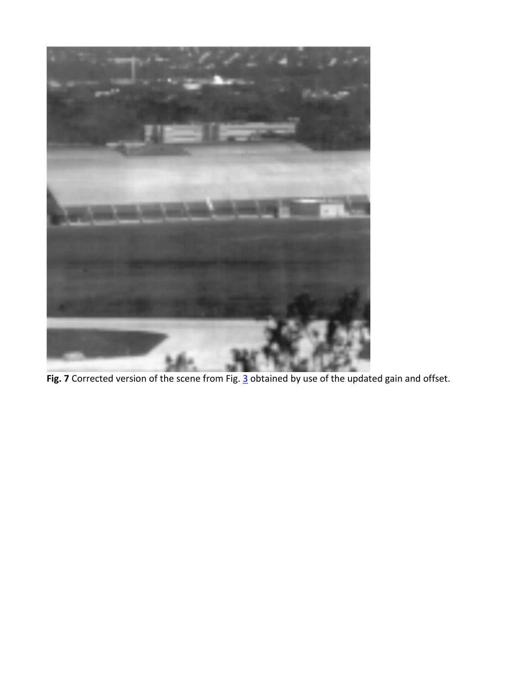

Fig. 7 Corrected version of the scene from Fig. [3](https://www.osapublishing.org/ao/fulltext.cfm?uri=ao-38-5-772&id=60204#F3) obtained by use of the updated gain and offset.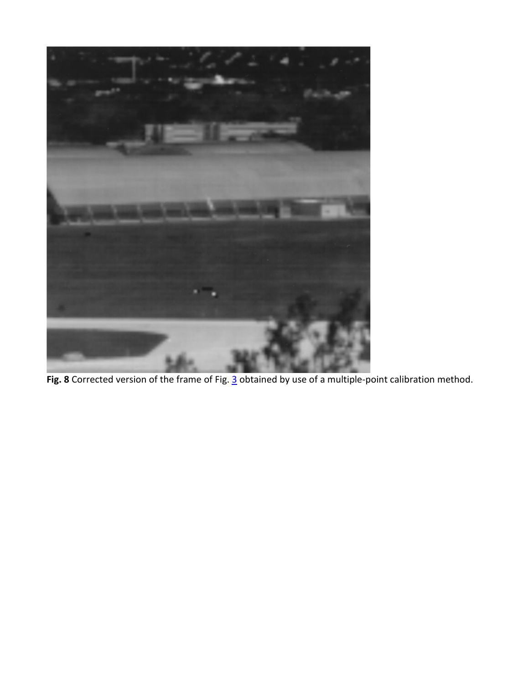

**Fig. 8** Corrected version of the frame of Fig. [3](https://www.osapublishing.org/ao/fulltext.cfm?uri=ao-38-5-772&id=60204#F3) obtained by use of a multiple-point calibration method.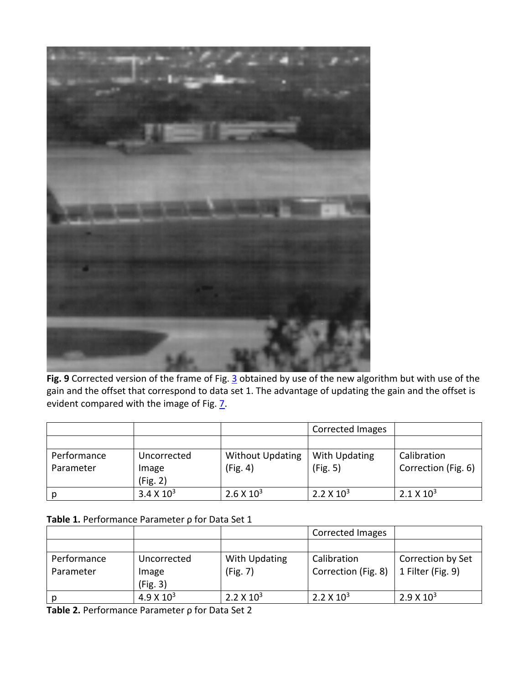

**Fig. 9** Corrected version of the frame of Fig. [3](https://www.osapublishing.org/ao/fulltext.cfm?uri=ao-38-5-772&id=60204#F3) obtained by use of the new algorithm but with use of the gain and the offset that correspond to data set 1. The advantage of updating the gain and the offset is evident compared with the image of Fig.  $\overline{2}$ .

|             |                   |                         | Corrected Images  |                     |
|-------------|-------------------|-------------------------|-------------------|---------------------|
|             |                   |                         |                   |                     |
| Performance | Uncorrected       | <b>Without Updating</b> | With Updating     | Calibration         |
| Parameter   | Image             | (Fig. 4)                | (Fig. 5)          | Correction (Fig. 6) |
|             | (Fig. 2)          |                         |                   |                     |
|             | $3.4 \times 10^3$ | $2.6 \times 10^3$       | $2.2 \times 10^3$ | $2.1 \times 10^3$   |

#### **Table 1.** Performance Parameter ρ for Data Set 1

|             |                     |                   | <b>Corrected Images</b> |                   |
|-------------|---------------------|-------------------|-------------------------|-------------------|
|             |                     |                   |                         |                   |
| Performance | Uncorrected         | With Updating     | Calibration             | Correction by Set |
| Parameter   | Image               | (Fig. 7)          | Correction (Fig. 8)     | 1 Filter (Fig. 9) |
|             | (Fig. 3)            |                   |                         |                   |
|             | $4.9 \times 10^{3}$ | $2.2 \times 10^3$ | $2.2 \times 10^3$       | $2.9 \times 10^3$ |

**Table 2.** Performance Parameter ρ for Data Set 2